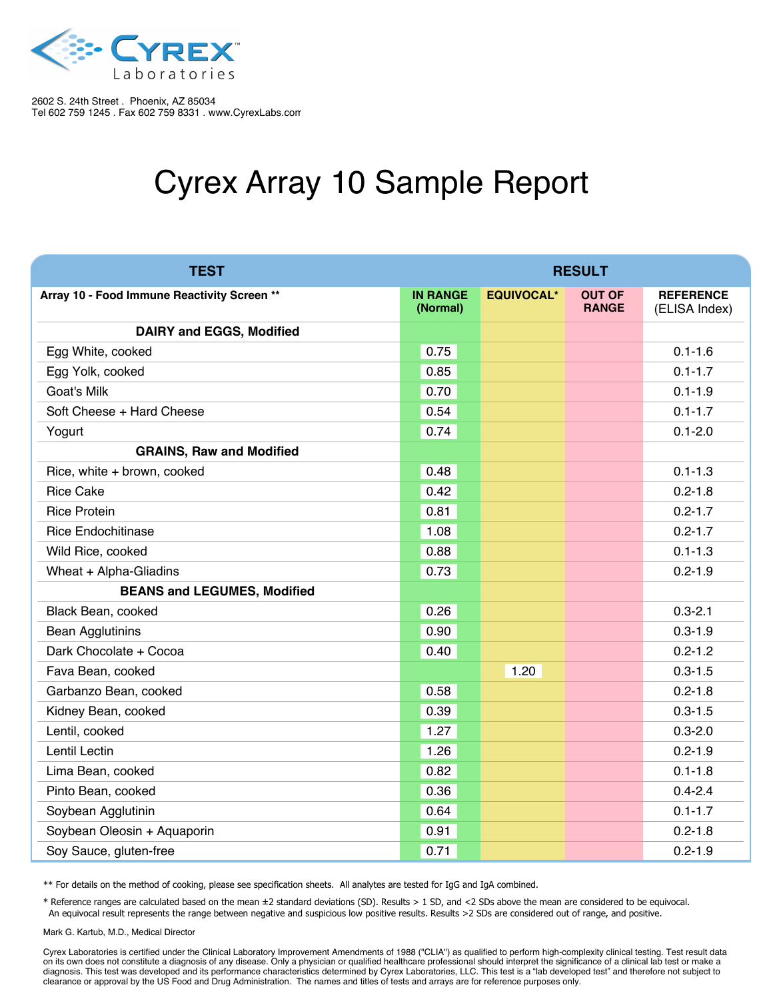

## Cyrex Array 10 Sample Report

| <b>TEST</b>                                 | <b>RESULT</b>               |                   |                               |                                   |
|---------------------------------------------|-----------------------------|-------------------|-------------------------------|-----------------------------------|
| Array 10 - Food Immune Reactivity Screen ** | <b>IN RANGE</b><br>(Normal) | <b>EQUIVOCAL*</b> | <b>OUT OF</b><br><b>RANGE</b> | <b>REFERENCE</b><br>(ELISA Index) |
| <b>DAIRY and EGGS, Modified</b>             |                             |                   |                               |                                   |
| Egg White, cooked                           | 0.75                        |                   |                               | $0.1 - 1.6$                       |
| Egg Yolk, cooked                            | 0.85                        |                   |                               | $0.1 - 1.7$                       |
| Goat's Milk                                 | 0.70                        |                   |                               | $0.1 - 1.9$                       |
| Soft Cheese + Hard Cheese                   | 0.54                        |                   |                               | $0.1 - 1.7$                       |
| Yogurt                                      | 0.74                        |                   |                               | $0.1 - 2.0$                       |
| <b>GRAINS, Raw and Modified</b>             |                             |                   |                               |                                   |
| Rice, white + brown, cooked                 | 0.48                        |                   |                               | $0.1 - 1.3$                       |
| <b>Rice Cake</b>                            | 0.42                        |                   |                               | $0.2 - 1.8$                       |
| <b>Rice Protein</b>                         | 0.81                        |                   |                               | $0.2 - 1.7$                       |
| <b>Rice Endochitinase</b>                   | 1.08                        |                   |                               | $0.2 - 1.7$                       |
| Wild Rice, cooked                           | 0.88                        |                   |                               | $0.1 - 1.3$                       |
| Wheat + Alpha-Gliadins                      | 0.73                        |                   |                               | $0.2 - 1.9$                       |
| <b>BEANS and LEGUMES, Modified</b>          |                             |                   |                               |                                   |
| Black Bean, cooked                          | 0.26                        |                   |                               | $0.3 - 2.1$                       |
| <b>Bean Agglutinins</b>                     | 0.90                        |                   |                               | $0.3 - 1.9$                       |
| Dark Chocolate + Cocoa                      | 0.40                        |                   |                               | $0.2 - 1.2$                       |
| Fava Bean, cooked                           |                             | 1.20              |                               | $0.3 - 1.5$                       |
| Garbanzo Bean, cooked                       | 0.58                        |                   |                               | $0.2 - 1.8$                       |
| Kidney Bean, cooked                         | 0.39                        |                   |                               | $0.3 - 1.5$                       |
| Lentil, cooked                              | 1.27                        |                   |                               | $0.3 - 2.0$                       |
| Lentil Lectin                               | 1.26                        |                   |                               | $0.2 - 1.9$                       |
| Lima Bean, cooked                           | 0.82                        |                   |                               | $0.1 - 1.8$                       |
| Pinto Bean, cooked                          | 0.36                        |                   |                               | $0.4 - 2.4$                       |
| Soybean Agglutinin                          | 0.64                        |                   |                               | $0.1 - 1.7$                       |
| Soybean Oleosin + Aquaporin                 | 0.91                        |                   |                               | $0.2 - 1.8$                       |
| Soy Sauce, gluten-free                      | 0.71                        |                   |                               | $0.2 - 1.9$                       |

\*\* For details on the method of cooking, please see specification sheets. All analytes are tested for IgG and IgA combined.

\* Reference ranges are calculated based on the mean ±2 standard deviations (SD). Results > 1 SD, and <2 SDs above the mean are considered to be equivocal. An equivocal result represents the range between negative and suspicious low positive results. Results >2 SDs are considered out of range, and positive.

Mark G. Kartub, M.D., Medical Director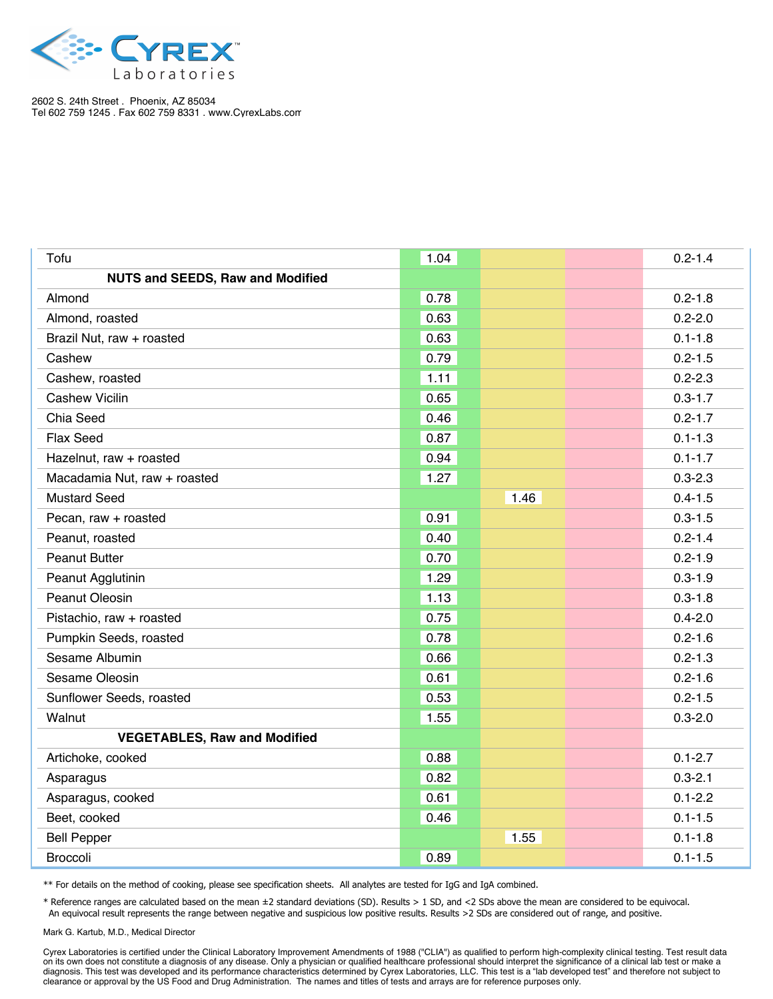

| Tofu                                    | 1.04 |      | $0.2 - 1.4$ |
|-----------------------------------------|------|------|-------------|
| <b>NUTS and SEEDS, Raw and Modified</b> |      |      |             |
| Almond                                  | 0.78 |      | $0.2 - 1.8$ |
| Almond, roasted                         | 0.63 |      | $0.2 - 2.0$ |
| Brazil Nut, raw + roasted               | 0.63 |      | $0.1 - 1.8$ |
| Cashew                                  | 0.79 |      | $0.2 - 1.5$ |
| Cashew, roasted                         | 1.11 |      | $0.2 - 2.3$ |
| <b>Cashew Vicilin</b>                   | 0.65 |      | $0.3 - 1.7$ |
| Chia Seed                               | 0.46 |      | $0.2 - 1.7$ |
| Flax Seed                               | 0.87 |      | $0.1 - 1.3$ |
| Hazelnut, raw + roasted                 | 0.94 |      | $0.1 - 1.7$ |
| Macadamia Nut, raw + roasted            | 1.27 |      | $0.3 - 2.3$ |
| <b>Mustard Seed</b>                     |      | 1.46 | $0.4 - 1.5$ |
| Pecan, raw + roasted                    | 0.91 |      | $0.3 - 1.5$ |
| Peanut, roasted                         | 0.40 |      | $0.2 - 1.4$ |
| <b>Peanut Butter</b>                    | 0.70 |      | $0.2 - 1.9$ |
| Peanut Agglutinin                       | 1.29 |      | $0.3 - 1.9$ |
| <b>Peanut Oleosin</b>                   | 1.13 |      | $0.3 - 1.8$ |
| Pistachio, raw + roasted                | 0.75 |      | $0.4 - 2.0$ |
| Pumpkin Seeds, roasted                  | 0.78 |      | $0.2 - 1.6$ |
| Sesame Albumin                          | 0.66 |      | $0.2 - 1.3$ |
| Sesame Oleosin                          | 0.61 |      | $0.2 - 1.6$ |
| Sunflower Seeds, roasted                | 0.53 |      | $0.2 - 1.5$ |
| Walnut                                  | 1.55 |      | $0.3 - 2.0$ |
| <b>VEGETABLES, Raw and Modified</b>     |      |      |             |
| Artichoke, cooked                       | 0.88 |      | $0.1 - 2.7$ |
| Asparagus                               | 0.82 |      | $0.3 - 2.1$ |
| Asparagus, cooked                       | 0.61 |      | $0.1 - 2.2$ |
| Beet, cooked                            | 0.46 |      | $0.1 - 1.5$ |
| <b>Bell Pepper</b>                      |      | 1.55 | $0.1 - 1.8$ |
| <b>Broccoli</b>                         | 0.89 |      | $0.1 - 1.5$ |

\*\* For details on the method of cooking, please see specification sheets. All analytes are tested for IgG and IgA combined.

\* Reference ranges are calculated based on the mean ±2 standard deviations (SD). Results > 1 SD, and <2 SDs above the mean are considered to be equivocal. An equivocal result represents the range between negative and suspicious low positive results. Results >2 SDs are considered out of range, and positive.

Mark G. Kartub, M.D., Medical Director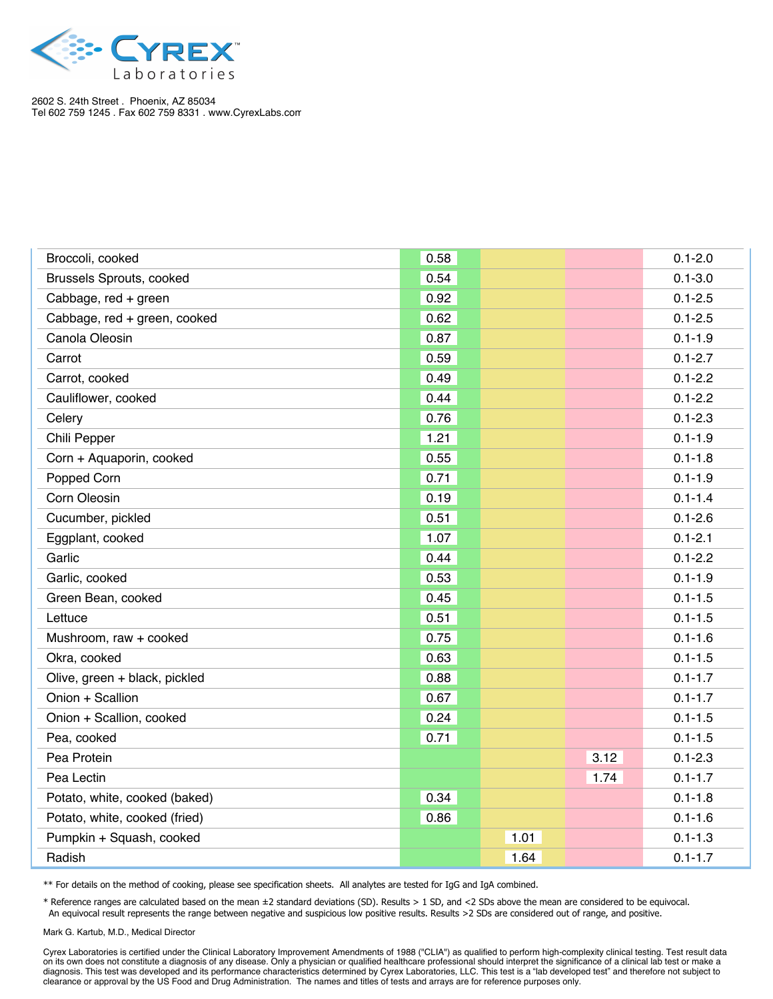

| Broccoli, cooked                | 0.58 |      |      | $0.1 - 2.0$ |
|---------------------------------|------|------|------|-------------|
| <b>Brussels Sprouts, cooked</b> | 0.54 |      |      | $0.1 - 3.0$ |
| Cabbage, red + green            | 0.92 |      |      | $0.1 - 2.5$ |
| Cabbage, red + green, cooked    | 0.62 |      |      | $0.1 - 2.5$ |
| Canola Oleosin                  | 0.87 |      |      | $0.1 - 1.9$ |
| Carrot                          | 0.59 |      |      | $0.1 - 2.7$ |
| Carrot, cooked                  | 0.49 |      |      | $0.1 - 2.2$ |
| Cauliflower, cooked             | 0.44 |      |      | $0.1 - 2.2$ |
| Celery                          | 0.76 |      |      | $0.1 - 2.3$ |
| Chili Pepper                    | 1.21 |      |      | $0.1 - 1.9$ |
| Corn + Aquaporin, cooked        | 0.55 |      |      | $0.1 - 1.8$ |
| Popped Corn                     | 0.71 |      |      | $0.1 - 1.9$ |
| Corn Oleosin                    | 0.19 |      |      | $0.1 - 1.4$ |
| Cucumber, pickled               | 0.51 |      |      | $0.1 - 2.6$ |
| Eggplant, cooked                | 1.07 |      |      | $0.1 - 2.1$ |
| Garlic                          | 0.44 |      |      | $0.1 - 2.2$ |
| Garlic, cooked                  | 0.53 |      |      | $0.1 - 1.9$ |
| Green Bean, cooked              | 0.45 |      |      | $0.1 - 1.5$ |
| Lettuce                         | 0.51 |      |      | $0.1 - 1.5$ |
| Mushroom, raw + cooked          | 0.75 |      |      | $0.1 - 1.6$ |
| Okra, cooked                    | 0.63 |      |      | $0.1 - 1.5$ |
| Olive, green + black, pickled   | 0.88 |      |      | $0.1 - 1.7$ |
| Onion + Scallion                | 0.67 |      |      | $0.1 - 1.7$ |
| Onion + Scallion, cooked        | 0.24 |      |      | $0.1 - 1.5$ |
| Pea, cooked                     | 0.71 |      |      | $0.1 - 1.5$ |
| Pea Protein                     |      |      | 3.12 | $0.1 - 2.3$ |
| Pea Lectin                      |      |      | 1.74 | $0.1 - 1.7$ |
| Potato, white, cooked (baked)   | 0.34 |      |      | $0.1 - 1.8$ |
| Potato, white, cooked (fried)   | 0.86 |      |      | $0.1 - 1.6$ |
| Pumpkin + Squash, cooked        |      | 1.01 |      | $0.1 - 1.3$ |
| Radish                          |      | 1.64 |      | $0.1 - 1.7$ |

\*\* For details on the method of cooking, please see specification sheets. All analytes are tested for IgG and IgA combined.

\* Reference ranges are calculated based on the mean ±2 standard deviations (SD). Results > 1 SD, and <2 SDs above the mean are considered to be equivocal. An equivocal result represents the range between negative and suspicious low positive results. Results >2 SDs are considered out of range, and positive.

Mark G. Kartub, M.D., Medical Director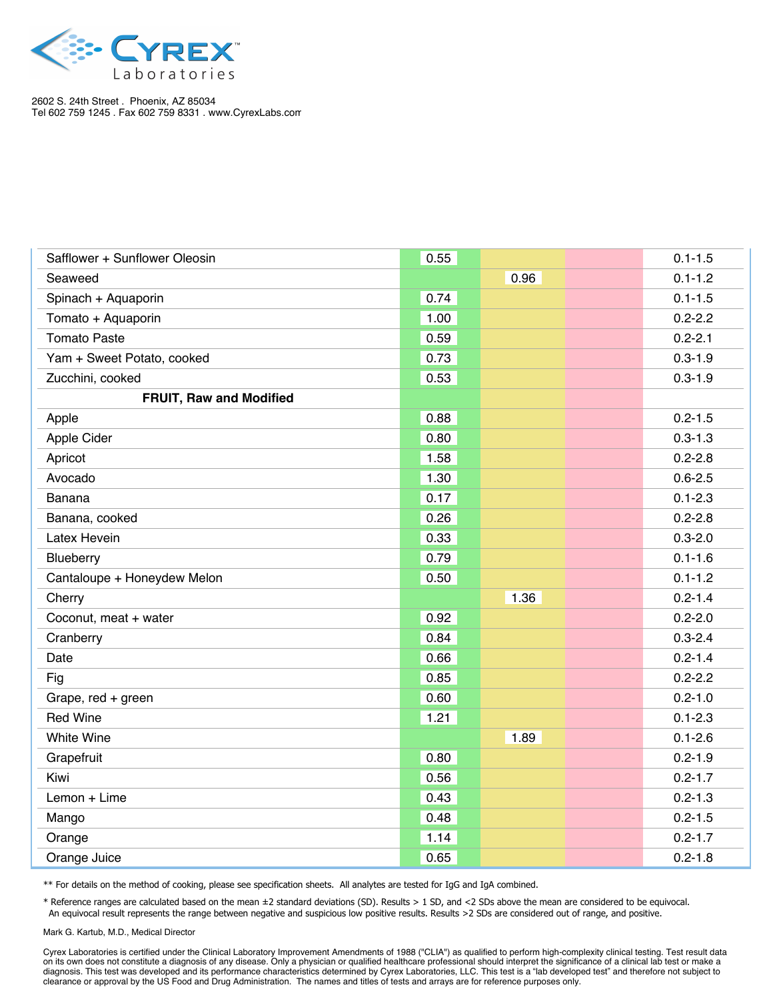

| Safflower + Sunflower Oleosin  | 0.55 |      | $0.1 - 1.5$ |
|--------------------------------|------|------|-------------|
| Seaweed                        |      | 0.96 | $0.1 - 1.2$ |
| Spinach + Aquaporin            | 0.74 |      | $0.1 - 1.5$ |
| Tomato + Aquaporin             | 1.00 |      | $0.2 - 2.2$ |
| <b>Tomato Paste</b>            | 0.59 |      | $0.2 - 2.1$ |
| Yam + Sweet Potato, cooked     | 0.73 |      | $0.3 - 1.9$ |
| Zucchini, cooked               | 0.53 |      | $0.3 - 1.9$ |
| <b>FRUIT, Raw and Modified</b> |      |      |             |
| Apple                          | 0.88 |      | $0.2 - 1.5$ |
| Apple Cider                    | 0.80 |      | $0.3 - 1.3$ |
| Apricot                        | 1.58 |      | $0.2 - 2.8$ |
| Avocado                        | 1.30 |      | $0.6 - 2.5$ |
| Banana                         | 0.17 |      | $0.1 - 2.3$ |
| Banana, cooked                 | 0.26 |      | $0.2 - 2.8$ |
| Latex Hevein                   | 0.33 |      | $0.3 - 2.0$ |
| Blueberry                      | 0.79 |      | $0.1 - 1.6$ |
| Cantaloupe + Honeydew Melon    | 0.50 |      | $0.1 - 1.2$ |
| Cherry                         |      | 1.36 | $0.2 - 1.4$ |
| Coconut, meat + water          | 0.92 |      | $0.2 - 2.0$ |
| Cranberry                      | 0.84 |      | $0.3 - 2.4$ |
| Date                           | 0.66 |      | $0.2 - 1.4$ |
| Fig                            | 0.85 |      | $0.2 - 2.2$ |
| Grape, red + green             | 0.60 |      | $0.2 - 1.0$ |
| <b>Red Wine</b>                | 1.21 |      | $0.1 - 2.3$ |
| White Wine                     |      | 1.89 | $0.1 - 2.6$ |
| Grapefruit                     | 0.80 |      | $0.2 - 1.9$ |
| Kiwi                           | 0.56 |      | $0.2 - 1.7$ |
| Lemon + Lime                   | 0.43 |      | $0.2 - 1.3$ |
| Mango                          | 0.48 |      | $0.2 - 1.5$ |
| Orange                         | 1.14 |      | $0.2 - 1.7$ |
| Orange Juice                   | 0.65 |      | $0.2 - 1.8$ |

\*\* For details on the method of cooking, please see specification sheets. All analytes are tested for IgG and IgA combined.

\* Reference ranges are calculated based on the mean ±2 standard deviations (SD). Results > 1 SD, and <2 SDs above the mean are considered to be equivocal. An equivocal result represents the range between negative and suspicious low positive results. Results >2 SDs are considered out of range, and positive.

Mark G. Kartub, M.D., Medical Director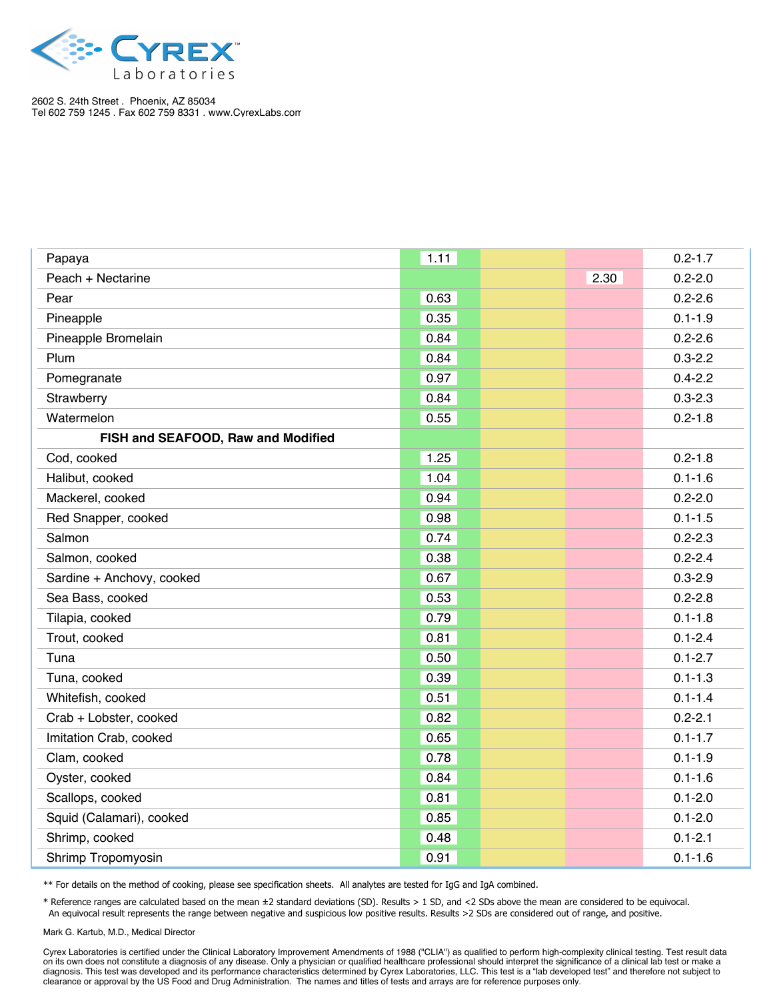

| Papaya                             | 1.11 |      | $0.2 - 1.7$ |
|------------------------------------|------|------|-------------|
| Peach + Nectarine                  |      | 2.30 | $0.2 - 2.0$ |
| Pear                               | 0.63 |      | $0.2 - 2.6$ |
| Pineapple                          | 0.35 |      | $0.1 - 1.9$ |
| Pineapple Bromelain                | 0.84 |      | $0.2 - 2.6$ |
| Plum                               | 0.84 |      | $0.3 - 2.2$ |
| Pomegranate                        | 0.97 |      | $0.4 - 2.2$ |
| Strawberry                         | 0.84 |      | $0.3 - 2.3$ |
| Watermelon                         | 0.55 |      | $0.2 - 1.8$ |
| FISH and SEAFOOD, Raw and Modified |      |      |             |
| Cod, cooked                        | 1.25 |      | $0.2 - 1.8$ |
| Halibut, cooked                    | 1.04 |      | $0.1 - 1.6$ |
| Mackerel, cooked                   | 0.94 |      | $0.2 - 2.0$ |
| Red Snapper, cooked                | 0.98 |      | $0.1 - 1.5$ |
| Salmon                             | 0.74 |      | $0.2 - 2.3$ |
| Salmon, cooked                     | 0.38 |      | $0.2 - 2.4$ |
| Sardine + Anchovy, cooked          | 0.67 |      | $0.3 - 2.9$ |
| Sea Bass, cooked                   | 0.53 |      | $0.2 - 2.8$ |
| Tilapia, cooked                    | 0.79 |      | $0.1 - 1.8$ |
| Trout, cooked                      | 0.81 |      | $0.1 - 2.4$ |
| Tuna                               | 0.50 |      | $0.1 - 2.7$ |
| Tuna, cooked                       | 0.39 |      | $0.1 - 1.3$ |
| Whitefish, cooked                  | 0.51 |      | $0.1 - 1.4$ |
| Crab + Lobster, cooked             | 0.82 |      | $0.2 - 2.1$ |
| Imitation Crab, cooked             | 0.65 |      | $0.1 - 1.7$ |
| Clam, cooked                       | 0.78 |      | $0.1 - 1.9$ |
| Oyster, cooked                     | 0.84 |      | $0.1 - 1.6$ |
| Scallops, cooked                   | 0.81 |      | $0.1 - 2.0$ |
| Squid (Calamari), cooked           | 0.85 |      | $0.1 - 2.0$ |
| Shrimp, cooked                     | 0.48 |      | $0.1 - 2.1$ |
| Shrimp Tropomyosin                 | 0.91 |      | $0.1 - 1.6$ |

\*\* For details on the method of cooking, please see specification sheets. All analytes are tested for IgG and IgA combined.

\* Reference ranges are calculated based on the mean ±2 standard deviations (SD). Results > 1 SD, and <2 SDs above the mean are considered to be equivocal. An equivocal result represents the range between negative and suspicious low positive results. Results >2 SDs are considered out of range, and positive.

Mark G. Kartub, M.D., Medical Director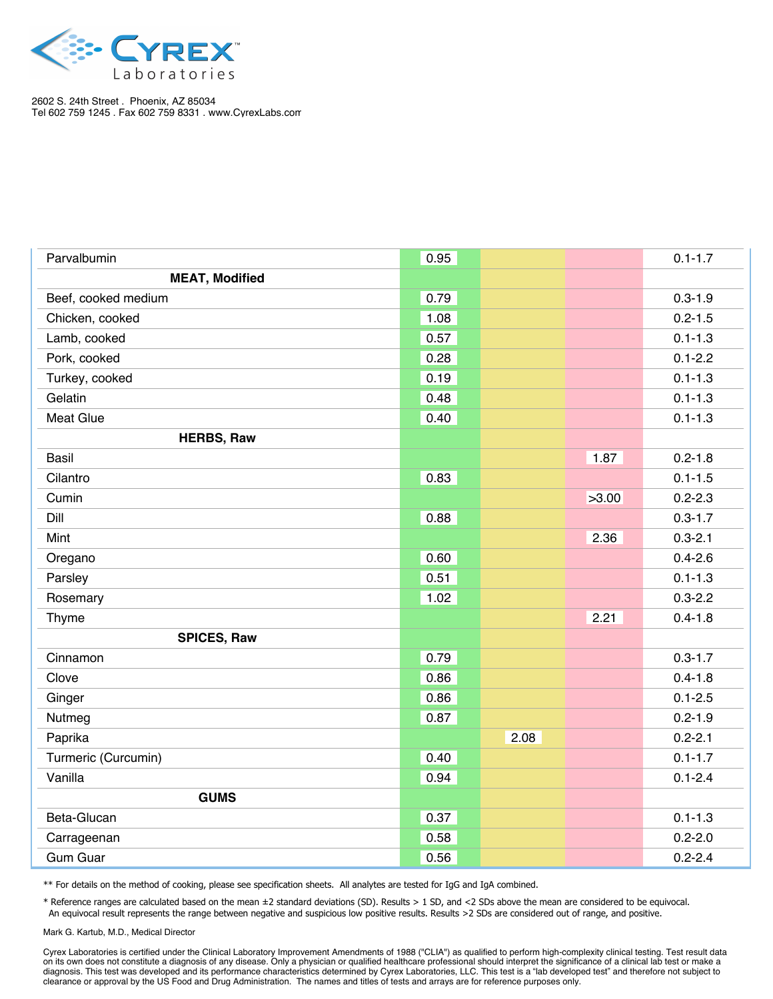

| Parvalbumin           | 0.95 |      |       | $0.1 - 1.7$ |
|-----------------------|------|------|-------|-------------|
| <b>MEAT, Modified</b> |      |      |       |             |
| Beef, cooked medium   | 0.79 |      |       | $0.3 - 1.9$ |
| Chicken, cooked       | 1.08 |      |       | $0.2 - 1.5$ |
| Lamb, cooked          | 0.57 |      |       | $0.1 - 1.3$ |
| Pork, cooked          | 0.28 |      |       | $0.1 - 2.2$ |
| Turkey, cooked        | 0.19 |      |       | $0.1 - 1.3$ |
| Gelatin               | 0.48 |      |       | $0.1 - 1.3$ |
| <b>Meat Glue</b>      | 0.40 |      |       | $0.1 - 1.3$ |
| <b>HERBS, Raw</b>     |      |      |       |             |
| <b>Basil</b>          |      |      | 1.87  | $0.2 - 1.8$ |
| Cilantro              | 0.83 |      |       | $0.1 - 1.5$ |
| Cumin                 |      |      | >3.00 | $0.2 - 2.3$ |
| Dill                  | 0.88 |      |       | $0.3 - 1.7$ |
| Mint                  |      |      | 2.36  | $0.3 - 2.1$ |
| Oregano               | 0.60 |      |       | $0.4 - 2.6$ |
| Parsley               | 0.51 |      |       | $0.1 - 1.3$ |
| Rosemary              | 1.02 |      |       | $0.3 - 2.2$ |
| Thyme                 |      |      | 2.21  | $0.4 - 1.8$ |
| <b>SPICES, Raw</b>    |      |      |       |             |
| Cinnamon              | 0.79 |      |       | $0.3 - 1.7$ |
| Clove                 | 0.86 |      |       | $0.4 - 1.8$ |
| Ginger                | 0.86 |      |       | $0.1 - 2.5$ |
| Nutmeg                | 0.87 |      |       | $0.2 - 1.9$ |
| Paprika               |      | 2.08 |       | $0.2 - 2.1$ |
| Turmeric (Curcumin)   | 0.40 |      |       | $0.1 - 1.7$ |
| Vanilla               | 0.94 |      |       | $0.1 - 2.4$ |
| <b>GUMS</b>           |      |      |       |             |
| Beta-Glucan           | 0.37 |      |       | $0.1 - 1.3$ |
| Carrageenan           | 0.58 |      |       | $0.2 - 2.0$ |
| <b>Gum Guar</b>       | 0.56 |      |       | $0.2 - 2.4$ |

\*\* For details on the method of cooking, please see specification sheets. All analytes are tested for IgG and IgA combined.

\* Reference ranges are calculated based on the mean ±2 standard deviations (SD). Results > 1 SD, and <2 SDs above the mean are considered to be equivocal. An equivocal result represents the range between negative and suspicious low positive results. Results >2 SDs are considered out of range, and positive.

Mark G. Kartub, M.D., Medical Director